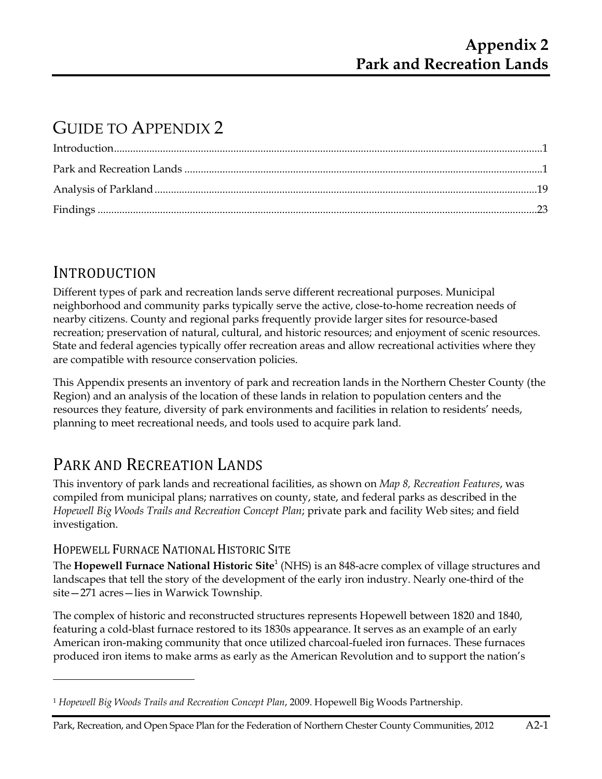# GUIDE TO APPENDIX 2

# **INTRODUCTION**

**.** 

Different types of park and recreation lands serve different recreational purposes. Municipal neighborhood and community parks typically serve the active, close-to-home recreation needs of nearby citizens. County and regional parks frequently provide larger sites for resource-based recreation; preservation of natural, cultural, and historic resources; and enjoyment of scenic resources. State and federal agencies typically offer recreation areas and allow recreational activities where they are compatible with resource conservation policies.

This Appendix presents an inventory of park and recreation lands in the Northern Chester County (the Region) and an analysis of the location of these lands in relation to population centers and the resources they feature, diversity of park environments and facilities in relation to residents' needs, planning to meet recreational needs, and tools used to acquire park land.

# PARK AND RECREATION LANDS

This inventory of park lands and recreational facilities, as shown on *Map 8, Recreation Features*, was compiled from municipal plans; narratives on county, state, and federal parks as described in the *Hopewell Big Woods Trails and Recreation Concept Plan*; private park and facility Web sites; and field investigation.

## HOPEWELL FURNACE NATIONAL HISTORIC SITE

The **Hopewell Furnace National Historic Site**<sup>1</sup> (NHS) is an 848-acre complex of village structures and landscapes that tell the story of the development of the early iron industry. Nearly one-third of the site—271 acres—lies in Warwick Township.

The complex of historic and reconstructed structures represents Hopewell between 1820 and 1840, featuring a cold-blast furnace restored to its 1830s appearance. It serves as an example of an early American iron-making community that once utilized charcoal-fueled iron furnaces. These furnaces produced iron items to make arms as early as the American Revolution and to support the nation's

<sup>1</sup> *Hopewell Big Woods Trails and Recreation Concept Plan*, 2009. Hopewell Big Woods Partnership.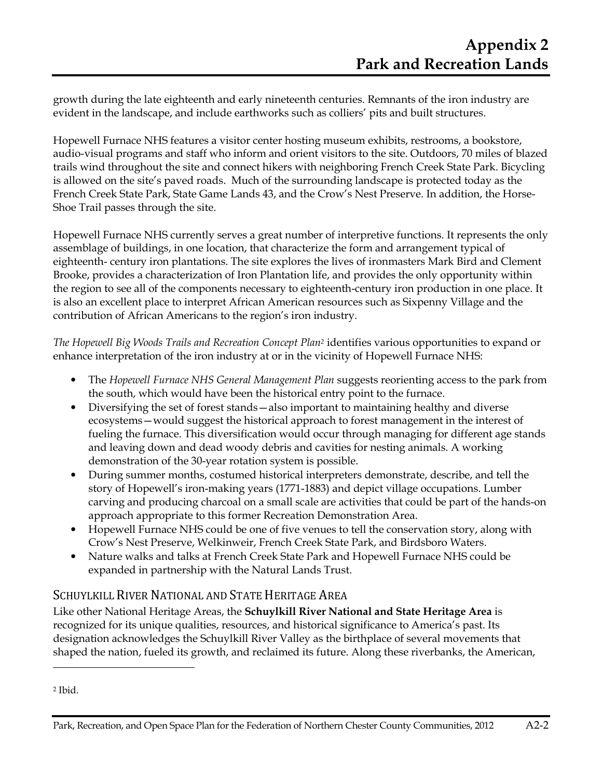growth during the late eighteenth and early nineteenth centuries. Remnants of the iron industry are evident in the landscape, and include earthworks such as colliers' pits and built structures.

Hopewell Furnace NHS features a visitor center hosting museum exhibits, restrooms, a bookstore, audio-visual programs and staff who inform and orient visitors to the site. Outdoors, 70 miles of blazed trails wind throughout the site and connect hikers with neighboring French Creek State Park. Bicycling is allowed on the site's paved roads. Much of the surrounding landscape is protected today as the French Creek State Park, State Game Lands 43, and the Crow's Nest Preserve. In addition, the Horse-Shoe Trail passes through the site.

Hopewell Furnace NHS currently serves a great number of interpretive functions. It represents the only assemblage of buildings, in one location, that characterize the form and arrangement typical of eighteenth- century iron plantations. The site explores the lives of ironmasters Mark Bird and Clement Brooke, provides a characterization of Iron Plantation life, and provides the only opportunity within the region to see all of the components necessary to eighteenth-century iron production in one place. It is also an excellent place to interpret African American resources such as Sixpenny Village and the contribution of African Americans to the region's iron industry.

*The Hopewell Big Woods Trails and Recreation Concept Plan2* identifies various opportunities to expand or enhance interpretation of the iron industry at or in the vicinity of Hopewell Furnace NHS:

- The *Hopewell Furnace NHS General Management Plan* suggests reorienting access to the park from the south, which would have been the historical entry point to the furnace.
- Diversifying the set of forest stands—also important to maintaining healthy and diverse ecosystems—would suggest the historical approach to forest management in the interest of fueling the furnace. This diversification would occur through managing for different age stands and leaving down and dead woody debris and cavities for nesting animals. A working demonstration of the 30-year rotation system is possible.
- During summer months, costumed historical interpreters demonstrate, describe, and tell the story of Hopewell's iron-making years (1771-1883) and depict village occupations. Lumber carving and producing charcoal on a small scale are activities that could be part of the hands-on approach appropriate to this former Recreation Demonstration Area.
- Hopewell Furnace NHS could be one of five venues to tell the conservation story, along with Crow's Nest Preserve, Welkinweir, French Creek State Park, and Birdsboro Waters.
- Nature walks and talks at French Creek State Park and Hopewell Furnace NHS could be expanded in partnership with the Natural Lands Trust.

## SCHUYLKILL RIVER NATIONAL AND STATE HERITAGE AREA

Like other National Heritage Areas, the **Schuylkill River National and State Heritage Area** is recognized for its unique qualities, resources, and historical significance to America's past. Its designation acknowledges the Schuylkill River Valley as the birthplace of several movements that shaped the nation, fueled its growth, and reclaimed its future. Along these riverbanks, the American,

 $\overline{\phantom{a}}$ 

<sup>2</sup> Ibid.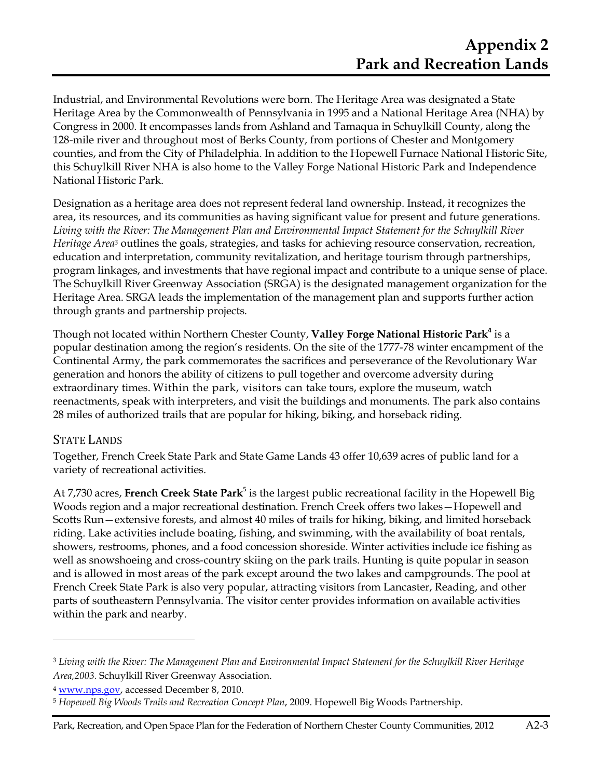Industrial, and Environmental Revolutions were born. The Heritage Area was designated a State Heritage Area by the Commonwealth of Pennsylvania in 1995 and a National Heritage Area (NHA) by Congress in 2000. It encompasses lands from Ashland and Tamaqua in Schuylkill County, along the 128-mile river and throughout most of Berks County, from portions of Chester and Montgomery counties, and from the City of Philadelphia. In addition to the Hopewell Furnace National Historic Site, this Schuylkill River NHA is also home to the Valley Forge National Historic Park and Independence National Historic Park.

Designation as a heritage area does not represent federal land ownership. Instead, it recognizes the area, its resources, and its communities as having significant value for present and future generations. *Living with the River: The Management Plan and Environmental Impact Statement for the Schuylkill River Heritage Area<sup>3</sup>* outlines the goals, strategies, and tasks for achieving resource conservation, recreation, education and interpretation, community revitalization, and heritage tourism through partnerships, program linkages, and investments that have regional impact and contribute to a unique sense of place. The Schuylkill River Greenway Association (SRGA) is the designated management organization for the Heritage Area. SRGA leads the implementation of the management plan and supports further action through grants and partnership projects.

Though not located within Northern Chester County, **Valley Forge National Historic Park<sup>4</sup>** is a popular destination among the region's residents. On the site of the 1777-78 winter encampment of the Continental Army, the park commemorates the sacrifices and perseverance of the Revolutionary War generation and honors the ability of citizens to pull together and overcome adversity during extraordinary times. Within the park, visitors can take tours, explore the museum, watch reenactments, speak with interpreters, and visit the buildings and monuments. The park also contains 28 miles of authorized trails that are popular for hiking, biking, and horseback riding.

### STATE LANDS

 $\overline{a}$ 

Together, French Creek State Park and State Game Lands 43 offer 10,639 acres of public land for a variety of recreational activities.

At 7,730 acres, French Creek State Park<sup>5</sup> is the largest public recreational facility in the Hopewell Big Woods region and a major recreational destination. French Creek offers two lakes—Hopewell and Scotts Run—extensive forests, and almost 40 miles of trails for hiking, biking, and limited horseback riding. Lake activities include boating, fishing, and swimming, with the availability of boat rentals, showers, restrooms, phones, and a food concession shoreside. Winter activities include ice fishing as well as snowshoeing and cross-country skiing on the park trails. Hunting is quite popular in season and is allowed in most areas of the park except around the two lakes and campgrounds. The pool at French Creek State Park is also very popular, attracting visitors from Lancaster, Reading, and other parts of southeastern Pennsylvania. The visitor center provides information on available activities within the park and nearby.

<sup>3</sup> *Living with the River: The Management Plan and Environmental Impact Statement for the Schuylkill River Heritage Area,2003.* Schuylkill River Greenway Association.

<sup>4</sup> www.nps.gov, accessed December 8, 2010.

<sup>5</sup> *Hopewell Big Woods Trails and Recreation Concept Plan*, 2009. Hopewell Big Woods Partnership.

Park, Recreation, and Open Space Plan for the Federation of Northern Chester County Communities, 2012 A2-3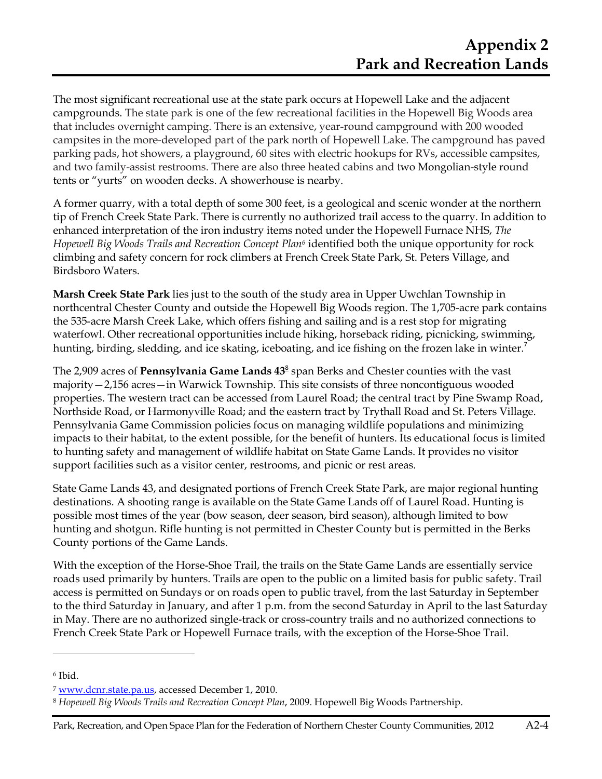The most significant recreational use at the state park occurs at Hopewell Lake and the adjacent campgrounds. The state park is one of the few recreational facilities in the Hopewell Big Woods area that includes overnight camping. There is an extensive, year-round campground with 200 wooded campsites in the more-developed part of the park north of Hopewell Lake. The campground has paved parking pads, hot showers, a playground, 60 sites with electric hookups for RVs, accessible campsites, and two family-assist restrooms. There are also three heated cabins and two Mongolian-style round tents or "yurts" on wooden decks. A showerhouse is nearby.

A former quarry, with a total depth of some 300 feet, is a geological and scenic wonder at the northern tip of French Creek State Park. There is currently no authorized trail access to the quarry. In addition to enhanced interpretation of the iron industry items noted under the Hopewell Furnace NHS, *The Hopewell Big Woods Trails and Recreation Concept Plan6* identified both the unique opportunity for rock climbing and safety concern for rock climbers at French Creek State Park, St. Peters Village, and Birdsboro Waters.

**Marsh Creek State Park** lies just to the south of the study area in Upper Uwchlan Township in northcentral Chester County and outside the Hopewell Big Woods region. The 1,705-acre park contains the 535-acre Marsh Creek Lake, which offers fishing and sailing and is a rest stop for migrating waterfowl. Other recreational opportunities include hiking, horseback riding, picnicking, swimming, hunting, birding, sledding, and ice skating, iceboating, and ice fishing on the frozen lake in winter.<sup>7</sup>

The 2,909 acres of Pennsylvania Game Lands 43<sup>8</sup> span Berks and Chester counties with the vast majority—2,156 acres—in Warwick Township. This site consists of three noncontiguous wooded properties. The western tract can be accessed from Laurel Road; the central tract by Pine Swamp Road, Northside Road, or Harmonyville Road; and the eastern tract by Trythall Road and St. Peters Village. Pennsylvania Game Commission policies focus on managing wildlife populations and minimizing impacts to their habitat, to the extent possible, for the benefit of hunters. Its educational focus is limited to hunting safety and management of wildlife habitat on State Game Lands. It provides no visitor support facilities such as a visitor center, restrooms, and picnic or rest areas.

State Game Lands 43, and designated portions of French Creek State Park, are major regional hunting destinations. A shooting range is available on the State Game Lands off of Laurel Road. Hunting is possible most times of the year (bow season, deer season, bird season), although limited to bow hunting and shotgun. Rifle hunting is not permitted in Chester County but is permitted in the Berks County portions of the Game Lands.

With the exception of the Horse-Shoe Trail, the trails on the State Game Lands are essentially service roads used primarily by hunters. Trails are open to the public on a limited basis for public safety. Trail access is permitted on Sundays or on roads open to public travel, from the last Saturday in September to the third Saturday in January, and after 1 p.m. from the second Saturday in April to the last Saturday in May. There are no authorized single-track or cross-country trails and no authorized connections to French Creek State Park or Hopewell Furnace trails, with the exception of the Horse-Shoe Trail.

 $\overline{a}$ 

Park, Recreation, and Open Space Plan for the Federation of Northern Chester County Communities, 2012 A2-4

<sup>6</sup> Ibid.

<sup>7</sup> www.dcnr.state.pa.us, accessed December 1, 2010.

<sup>8</sup> *Hopewell Big Woods Trails and Recreation Concept Plan*, 2009. Hopewell Big Woods Partnership.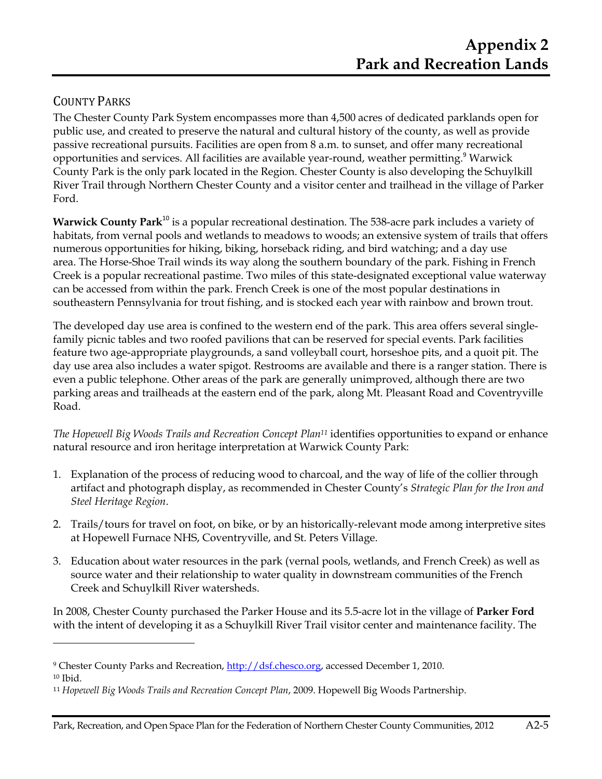## COUNTY PARKS

**.** 

The Chester County Park System encompasses more than 4,500 acres of dedicated parklands open for public use, and created to preserve the natural and cultural history of the county, as well as provide passive recreational pursuits. Facilities are open from 8 a.m. to sunset, and offer many recreational proportunities and services. All facilities are available year-round, weather permitting.<sup>9</sup> Warwick County Park is the only park located in the Region. Chester County is also developing the Schuylkill River Trail through Northern Chester County and a visitor center and trailhead in the village of Parker Ford.

**Warwick County Park**<sup>10</sup> is a popular recreational destination. The 538-acre park includes a variety of habitats, from vernal pools and wetlands to meadows to woods; an extensive system of trails that offers numerous opportunities for hiking, biking, horseback riding, and bird watching; and a day use area. The Horse-Shoe Trail winds its way along the southern boundary of the park. Fishing in French Creek is a popular recreational pastime. Two miles of this state-designated exceptional value waterway can be accessed from within the park. French Creek is one of the most popular destinations in southeastern Pennsylvania for trout fishing, and is stocked each year with rainbow and brown trout.

The developed day use area is confined to the western end of the park. This area offers several singlefamily picnic tables and two roofed pavilions that can be reserved for special events. Park facilities feature two age-appropriate playgrounds, a sand volleyball court, horseshoe pits, and a quoit pit. The day use area also includes a water spigot. Restrooms are available and there is a ranger station. There is even a public telephone. Other areas of the park are generally unimproved, although there are two parking areas and trailheads at the eastern end of the park, along Mt. Pleasant Road and Coventryville Road.

*The Hopewell Big Woods Trails and Recreation Concept Plan11* identifies opportunities to expand or enhance natural resource and iron heritage interpretation at Warwick County Park:

- 1. Explanation of the process of reducing wood to charcoal, and the way of life of the collier through artifact and photograph display, as recommended in Chester County's *Strategic Plan for the Iron and Steel Heritage Region*.
- 2. Trails/tours for travel on foot, on bike, or by an historically-relevant mode among interpretive sites at Hopewell Furnace NHS, Coventryville, and St. Peters Village.
- 3. Education about water resources in the park (vernal pools, wetlands, and French Creek) as well as source water and their relationship to water quality in downstream communities of the French Creek and Schuylkill River watersheds.

In 2008, Chester County purchased the Parker House and its 5.5-acre lot in the village of **Parker Ford** with the intent of developing it as a Schuylkill River Trail visitor center and maintenance facility. The

<sup>&</sup>lt;sup>9</sup> Chester County Parks and Recreation, <u>http://dsf.chesco.org</u>, accessed December 1, 2010. <sup>10</sup> Ibid.

<sup>11</sup> *Hopewell Big Woods Trails and Recreation Concept Plan*, 2009. Hopewell Big Woods Partnership.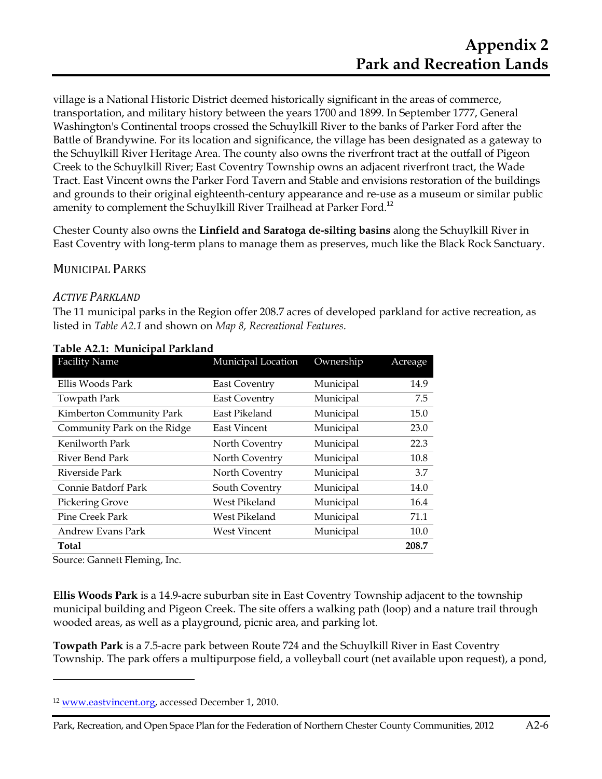village is a National Historic District deemed historically significant in the areas of commerce, transportation, and military history between the years 1700 and 1899. In September 1777, General Washington's Continental troops crossed the Schuylkill River to the banks of Parker Ford after the Battle of Brandywine. For its location and significance, the village has been designated as a gateway to the Schuylkill River Heritage Area. The county also owns the riverfront tract at the outfall of Pigeon Creek to the Schuylkill River; East Coventry Township owns an adjacent riverfront tract, the Wade Tract. East Vincent owns the Parker Ford Tavern and Stable and envisions restoration of the buildings and grounds to their original eighteenth-century appearance and re-use as a museum or similar public amenity to complement the Schuylkill River Trailhead at Parker Ford.<sup>12</sup>

Chester County also owns the **Linfield and Saratoga de-silting basins** along the Schuylkill River in East Coventry with long-term plans to manage them as preserves, much like the Black Rock Sanctuary.

#### MUNICIPAL PARKS

#### *ACTIVE PARKLAND*

The 11 municipal parks in the Region offer 208.7 acres of developed parkland for active recreation, as listed in *Table A2.1* and shown on *Map 8, Recreational Features*.

| <b>Facility Name</b>        | Municipal Location   | Ownership | Acreage |
|-----------------------------|----------------------|-----------|---------|
| Ellis Woods Park            | <b>East Coventry</b> | Municipal | 14.9    |
| Towpath Park                | <b>East Coventry</b> | Municipal | 7.5     |
| Kimberton Community Park    | East Pikeland        | Municipal | 15.0    |
| Community Park on the Ridge | <b>East Vincent</b>  | Municipal | 23.0    |
| Kenilworth Park             | North Coventry       | Municipal | 22.3    |
| River Bend Park             | North Coventry       | Municipal | 10.8    |
| Riverside Park              | North Coventry       | Municipal | 3.7     |
| Connie Batdorf Park         | South Coventry       | Municipal | 14.0    |
| <b>Pickering Grove</b>      | West Pikeland        | Municipal | 16.4    |
| Pine Creek Park             | West Pikeland        | Municipal | 71.1    |
| Andrew Evans Park           | <b>West Vincent</b>  | Municipal | 10.0    |
| <b>Total</b>                |                      |           | 208.7   |

#### **Table A2.1: Municipal Parkland**

Source: Gannett Fleming, Inc.

**.** 

**Ellis Woods Park** is a 14.9-acre suburban site in East Coventry Township adjacent to the township municipal building and Pigeon Creek. The site offers a walking path (loop) and a nature trail through wooded areas, as well as a playground, picnic area, and parking lot.

**Towpath Park** is a 7.5-acre park between Route 724 and the Schuylkill River in East Coventry Township. The park offers a multipurpose field, a volleyball court (net available upon request), a pond,

<sup>12</sup> www.eastvincent.org, accessed December 1, 2010.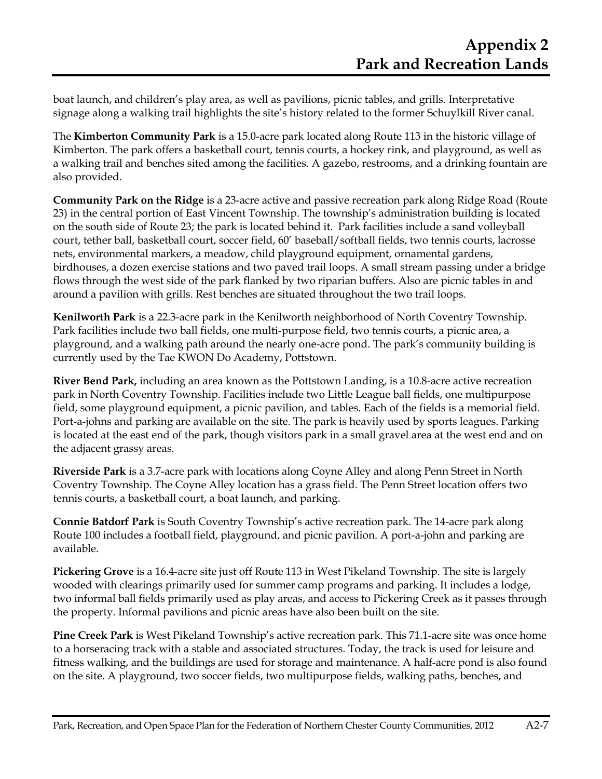boat launch, and children's play area, as well as pavilions, picnic tables, and grills. Interpretative signage along a walking trail highlights the site's history related to the former Schuylkill River canal.

The **Kimberton Community Park** is a 15.0-acre park located along Route 113 in the historic village of Kimberton. The park offers a basketball court, tennis courts, a hockey rink, and playground, as well as a walking trail and benches sited among the facilities. A gazebo, restrooms, and a drinking fountain are also provided.

**Community Park on the Ridge** is a 23-acre active and passive recreation park along Ridge Road (Route 23) in the central portion of East Vincent Township. The township's administration building is located on the south side of Route 23; the park is located behind it. Park facilities include a sand volleyball court, tether ball, basketball court, soccer field, 60' baseball/softball fields, two tennis courts, lacrosse nets, environmental markers, a meadow, child playground equipment, ornamental gardens, birdhouses, a dozen exercise stations and two paved trail loops. A small stream passing under a bridge flows through the west side of the park flanked by two riparian buffers. Also are picnic tables in and around a pavilion with grills. Rest benches are situated throughout the two trail loops.

**Kenilworth Park** is a 22.3-acre park in the Kenilworth neighborhood of North Coventry Township. Park facilities include two ball fields, one multi-purpose field, two tennis courts, a picnic area, a playground, and a walking path around the nearly one-acre pond. The park's community building is currently used by the Tae KWON Do Academy, Pottstown.

**River Bend Park,** including an area known as the Pottstown Landing, is a 10.8-acre active recreation park in North Coventry Township. Facilities include two Little League ball fields, one multipurpose field, some playground equipment, a picnic pavilion, and tables. Each of the fields is a memorial field. Port-a-johns and parking are available on the site. The park is heavily used by sports leagues. Parking is located at the east end of the park, though visitors park in a small gravel area at the west end and on the adjacent grassy areas.

**Riverside Park** is a 3.7-acre park with locations along Coyne Alley and along Penn Street in North Coventry Township. The Coyne Alley location has a grass field. The Penn Street location offers two tennis courts, a basketball court, a boat launch, and parking.

**Connie Batdorf Park** is South Coventry Township's active recreation park. The 14-acre park along Route 100 includes a football field, playground, and picnic pavilion. A port-a-john and parking are available.

**Pickering Grove** is a 16.4-acre site just off Route 113 in West Pikeland Township. The site is largely wooded with clearings primarily used for summer camp programs and parking. It includes a lodge, two informal ball fields primarily used as play areas, and access to Pickering Creek as it passes through the property. Informal pavilions and picnic areas have also been built on the site.

**Pine Creek Park** is West Pikeland Township's active recreation park. This 71.1-acre site was once home to a horseracing track with a stable and associated structures. Today, the track is used for leisure and fitness walking, and the buildings are used for storage and maintenance. A half-acre pond is also found on the site. A playground, two soccer fields, two multipurpose fields, walking paths, benches, and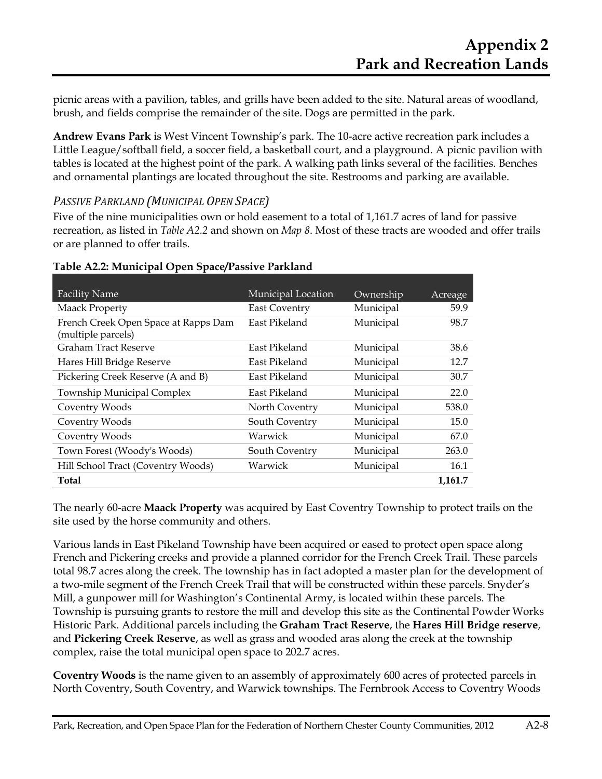picnic areas with a pavilion, tables, and grills have been added to the site. Natural areas of woodland, brush, and fields comprise the remainder of the site. Dogs are permitted in the park.

**Andrew Evans Park** is West Vincent Township's park. The 10-acre active recreation park includes a Little League/softball field, a soccer field, a basketball court, and a playground. A picnic pavilion with tables is located at the highest point of the park. A walking path links several of the facilities. Benches and ornamental plantings are located throughout the site. Restrooms and parking are available.

#### *PASSIVE PARKLAND (MUNICIPAL OPEN SPACE)*

Five of the nine municipalities own or hold easement to a total of 1,161.7 acres of land for passive recreation, as listed in *Table A2.2* and shown on *Map 8*. Most of these tracts are wooded and offer trails or are planned to offer trails.

| <b>Facility Name</b>                                       | Municipal Location   | Ownership | Acreage |
|------------------------------------------------------------|----------------------|-----------|---------|
| <b>Maack Property</b>                                      | <b>East Coventry</b> | Municipal | 59.9    |
| French Creek Open Space at Rapps Dam<br>(multiple parcels) | East Pikeland        | Municipal | 98.7    |
| Graham Tract Reserve                                       | East Pikeland        | Municipal | 38.6    |
| Hares Hill Bridge Reserve                                  | East Pikeland        | Municipal | 12.7    |
| Pickering Creek Reserve (A and B)                          | East Pikeland        | Municipal | 30.7    |
| <b>Township Municipal Complex</b>                          | East Pikeland        | Municipal | 22.0    |
| Coventry Woods                                             | North Coventry       | Municipal | 538.0   |
| Coventry Woods                                             | South Coventry       | Municipal | 15.0    |
| Coventry Woods                                             | Warwick              | Municipal | 67.0    |
| Town Forest (Woody's Woods)                                | South Coventry       | Municipal | 263.0   |
| Hill School Tract (Coventry Woods)                         | Warwick              | Municipal | 16.1    |
| <b>Total</b>                                               |                      |           | 1,161.7 |

#### **Table A2.2: Municipal Open Space/Passive Parkland**

The nearly 60-acre **Maack Property** was acquired by East Coventry Township to protect trails on the site used by the horse community and others.

Various lands in East Pikeland Township have been acquired or eased to protect open space along French and Pickering creeks and provide a planned corridor for the French Creek Trail. These parcels total 98.7 acres along the creek. The township has in fact adopted a master plan for the development of a two-mile segment of the French Creek Trail that will be constructed within these parcels. Snyder's Mill, a gunpower mill for Washington's Continental Army, is located within these parcels. The Township is pursuing grants to restore the mill and develop this site as the Continental Powder Works Historic Park. Additional parcels including the **Graham Tract Reserve**, the **Hares Hill Bridge reserve**, and **Pickering Creek Reserve**, as well as grass and wooded aras along the creek at the township complex, raise the total municipal open space to 202.7 acres.

**Coventry Woods** is the name given to an assembly of approximately 600 acres of protected parcels in North Coventry, South Coventry, and Warwick townships. The Fernbrook Access to Coventry Woods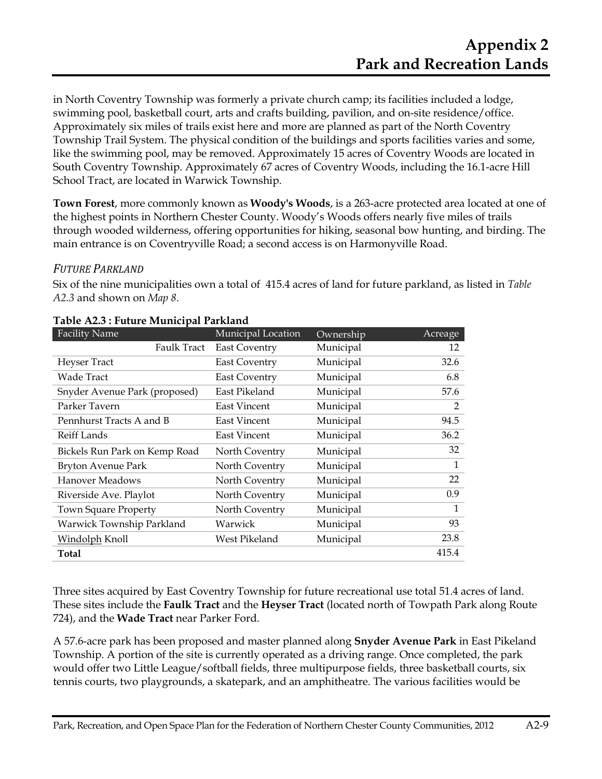in North Coventry Township was formerly a private church camp; its facilities included a lodge, swimming pool, basketball court, arts and crafts building, pavilion, and on-site residence/office. Approximately six miles of trails exist here and more are planned as part of the North Coventry Township Trail System. The physical condition of the buildings and sports facilities varies and some, like the swimming pool, may be removed. Approximately 15 acres of Coventry Woods are located in South Coventry Township. Approximately 67 acres of Coventry Woods, including the 16.1-acre Hill School Tract, are located in Warwick Township.

**Town Forest**, more commonly known as **Woody's Woods**, is a 263-acre protected area located at one of the highest points in Northern Chester County. Woody's Woods offers nearly five miles of trails through wooded wilderness, offering opportunities for hiking, seasonal bow hunting, and birding. The main entrance is on Coventryville Road; a second access is on Harmonyville Road.

#### *FUTURE PARKLAND*

Six of the nine municipalities own a total of 415.4 acres of land for future parkland, as listed in *Table A2.3* and shown on *Map 8*.

| Table A2.9 . Future Municipal Farmanu |           |                |
|---------------------------------------|-----------|----------------|
| Municipal Location                    | Ownership | Acreage        |
| <b>East Coventry</b>                  | Municipal | 12             |
| <b>East Coventry</b>                  | Municipal | 32.6           |
| <b>East Coventry</b>                  | Municipal | 6.8            |
| East Pikeland                         | Municipal | 57.6           |
| <b>East Vincent</b>                   | Municipal | $\overline{2}$ |
| <b>East Vincent</b>                   | Municipal | 94.5           |
| <b>East Vincent</b>                   | Municipal | 36.2           |
| North Coventry                        | Municipal | 32             |
| North Coventry                        | Municipal | 1              |
| North Coventry                        | Municipal | 22             |
| North Coventry                        | Municipal | 0.9            |
| North Coventry                        | Municipal | 1              |
| Warwick                               | Municipal | 93             |
| West Pikeland                         | Municipal | 23.8           |
|                                       |           | 415.4          |
|                                       |           |                |

#### **Table A2.3 : Future Municipal Parkland**

Three sites acquired by East Coventry Township for future recreational use total 51.4 acres of land. These sites include the **Faulk Tract** and the **Heyser Tract** (located north of Towpath Park along Route 724), and the **Wade Tract** near Parker Ford.

A 57.6-acre park has been proposed and master planned along **Snyder Avenue Park** in East Pikeland Township. A portion of the site is currently operated as a driving range. Once completed, the park would offer two Little League/softball fields, three multipurpose fields, three basketball courts, six tennis courts, two playgrounds, a skatepark, and an amphitheatre. The various facilities would be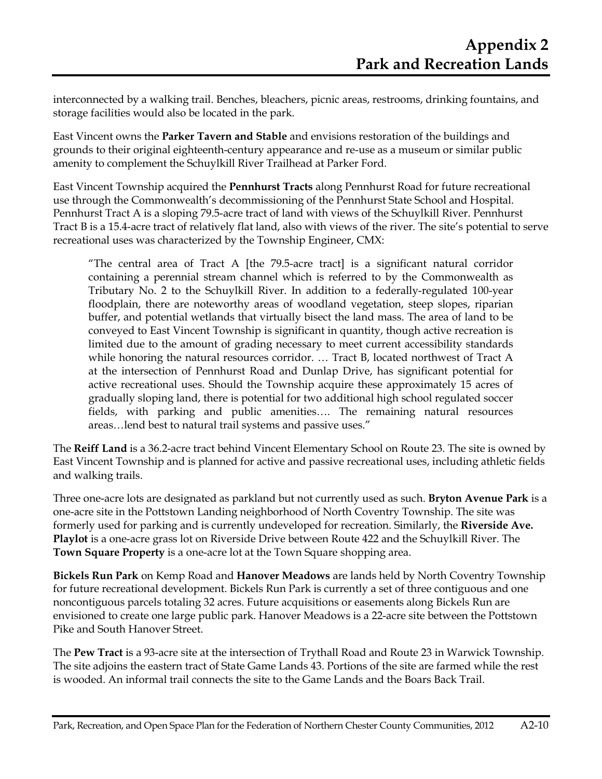interconnected by a walking trail. Benches, bleachers, picnic areas, restrooms, drinking fountains, and storage facilities would also be located in the park.

East Vincent owns the **Parker Tavern and Stable** and envisions restoration of the buildings and grounds to their original eighteenth-century appearance and re-use as a museum or similar public amenity to complement the Schuylkill River Trailhead at Parker Ford.

East Vincent Township acquired the **Pennhurst Tracts** along Pennhurst Road for future recreational use through the Commonwealth's decommissioning of the Pennhurst State School and Hospital. Pennhurst Tract A is a sloping 79.5-acre tract of land with views of the Schuylkill River. Pennhurst Tract B is a 15.4-acre tract of relatively flat land, also with views of the river. The site's potential to serve recreational uses was characterized by the Township Engineer, CMX:

"The central area of Tract A [the 79.5-acre tract] is a significant natural corridor containing a perennial stream channel which is referred to by the Commonwealth as Tributary No. 2 to the Schuylkill River. In addition to a federally-regulated 100-year floodplain, there are noteworthy areas of woodland vegetation, steep slopes, riparian buffer, and potential wetlands that virtually bisect the land mass. The area of land to be conveyed to East Vincent Township is significant in quantity, though active recreation is limited due to the amount of grading necessary to meet current accessibility standards while honoring the natural resources corridor. … Tract B, located northwest of Tract A at the intersection of Pennhurst Road and Dunlap Drive, has significant potential for active recreational uses. Should the Township acquire these approximately 15 acres of gradually sloping land, there is potential for two additional high school regulated soccer fields, with parking and public amenities…. The remaining natural resources areas…lend best to natural trail systems and passive uses."

The **Reiff Land** is a 36.2-acre tract behind Vincent Elementary School on Route 23. The site is owned by East Vincent Township and is planned for active and passive recreational uses, including athletic fields and walking trails.

Three one-acre lots are designated as parkland but not currently used as such. **Bryton Avenue Park** is a one-acre site in the Pottstown Landing neighborhood of North Coventry Township. The site was formerly used for parking and is currently undeveloped for recreation. Similarly, the **Riverside Ave. Playlot** is a one-acre grass lot on Riverside Drive between Route 422 and the Schuylkill River. The **Town Square Property** is a one-acre lot at the Town Square shopping area.

**Bickels Run Park** on Kemp Road and **Hanover Meadows** are lands held by North Coventry Township for future recreational development. Bickels Run Park is currently a set of three contiguous and one noncontiguous parcels totaling 32 acres. Future acquisitions or easements along Bickels Run are envisioned to create one large public park. Hanover Meadows is a 22-acre site between the Pottstown Pike and South Hanover Street.

The **Pew Tract** is a 93-acre site at the intersection of Trythall Road and Route 23 in Warwick Township. The site adjoins the eastern tract of State Game Lands 43. Portions of the site are farmed while the rest is wooded. An informal trail connects the site to the Game Lands and the Boars Back Trail.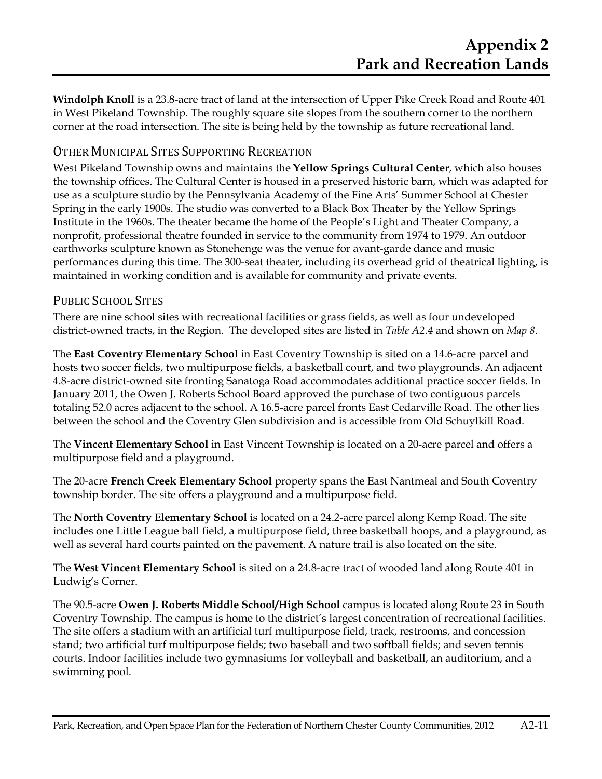**Windolph Knoll** is a 23.8-acre tract of land at the intersection of Upper Pike Creek Road and Route 401 in West Pikeland Township. The roughly square site slopes from the southern corner to the northern corner at the road intersection. The site is being held by the township as future recreational land.

## OTHER MUNICIPAL SITES SUPPORTING RECREATION

West Pikeland Township owns and maintains the **Yellow Springs Cultural Center**, which also houses the township offices. The Cultural Center is housed in a preserved historic barn, which was adapted for use as a sculpture studio by the Pennsylvania Academy of the Fine Arts' Summer School at Chester Spring in the early 1900s. The studio was converted to a Black Box Theater by the Yellow Springs Institute in the 1960s. The theater became the home of the People's Light and Theater Company, a nonprofit, professional theatre founded in service to the community from 1974 to 1979. An outdoor earthworks sculpture known as Stonehenge was the venue for avant-garde dance and music performances during this time. The 300-seat theater, including its overhead grid of theatrical lighting, is maintained in working condition and is available for community and private events.

## PUBLIC SCHOOL SITES

There are nine school sites with recreational facilities or grass fields, as well as four undeveloped district-owned tracts, in the Region. The developed sites are listed in *Table A2.4* and shown on *Map 8*.

The **East Coventry Elementary School** in East Coventry Township is sited on a 14.6-acre parcel and hosts two soccer fields, two multipurpose fields, a basketball court, and two playgrounds. An adjacent 4.8-acre district-owned site fronting Sanatoga Road accommodates additional practice soccer fields. In January 2011, the Owen J. Roberts School Board approved the purchase of two contiguous parcels totaling 52.0 acres adjacent to the school. A 16.5-acre parcel fronts East Cedarville Road. The other lies between the school and the Coventry Glen subdivision and is accessible from Old Schuylkill Road.

The **Vincent Elementary School** in East Vincent Township is located on a 20-acre parcel and offers a multipurpose field and a playground.

The 20-acre **French Creek Elementary School** property spans the East Nantmeal and South Coventry township border. The site offers a playground and a multipurpose field.

The **North Coventry Elementary School** is located on a 24.2-acre parcel along Kemp Road. The site includes one Little League ball field, a multipurpose field, three basketball hoops, and a playground, as well as several hard courts painted on the pavement. A nature trail is also located on the site.

The **West Vincent Elementary School** is sited on a 24.8-acre tract of wooded land along Route 401 in Ludwig's Corner.

The 90.5-acre **Owen J. Roberts Middle School/High School** campus is located along Route 23 in South Coventry Township. The campus is home to the district's largest concentration of recreational facilities. The site offers a stadium with an artificial turf multipurpose field, track, restrooms, and concession stand; two artificial turf multipurpose fields; two baseball and two softball fields; and seven tennis courts. Indoor facilities include two gymnasiums for volleyball and basketball, an auditorium, and a swimming pool.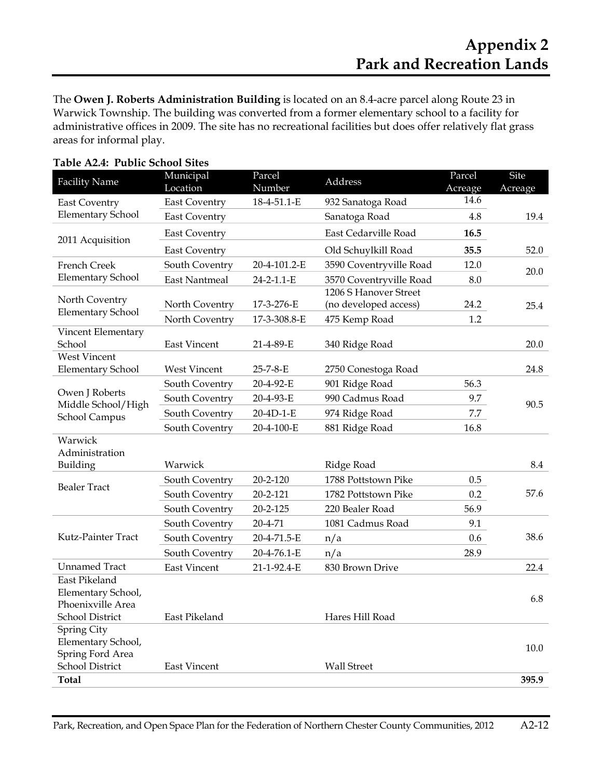The **Owen J. Roberts Administration Building** is located on an 8.4-acre parcel along Route 23 in Warwick Township. The building was converted from a former elementary school to a facility for administrative offices in 2009. The site has no recreational facilities but does offer relatively flat grass areas for informal play.

| <b>Facility Name</b>                                     | Municipal<br>Location | Parcel<br>Number | Address                 | Parcel<br>Acreage | <b>Site</b><br>Acreage |  |
|----------------------------------------------------------|-----------------------|------------------|-------------------------|-------------------|------------------------|--|
| <b>East Coventry</b>                                     | <b>East Coventry</b>  | 18-4-51.1-E      | 932 Sanatoga Road       | 14.6              |                        |  |
| <b>Elementary School</b>                                 | <b>East Coventry</b>  |                  | Sanatoga Road           | 4.8               | 19.4                   |  |
|                                                          | <b>East Coventry</b>  |                  | East Cedarville Road    | 16.5              |                        |  |
| 2011 Acquisition                                         | <b>East Coventry</b>  |                  | Old Schuylkill Road     | 35.5              | 52.0                   |  |
| French Creek                                             | South Coventry        | 20-4-101.2-E     | 3590 Coventryville Road | 12.0              | 20.0                   |  |
| <b>Elementary School</b>                                 | <b>East Nantmeal</b>  | 24-2-1.1-E       | 3570 Coventryville Road | 8.0               |                        |  |
|                                                          |                       |                  | 1206 S Hanover Street   |                   |                        |  |
| North Coventry<br><b>Elementary School</b>               | North Coventry        | 17-3-276-E       | (no developed access)   | 24.2              | 25.4                   |  |
|                                                          | North Coventry        | 17-3-308.8-E     | 475 Kemp Road           | 1.2               |                        |  |
| Vincent Elementary<br>School                             | <b>East Vincent</b>   | 21-4-89-E        | 340 Ridge Road          |                   | 20.0                   |  |
| <b>West Vincent</b>                                      |                       |                  |                         |                   |                        |  |
| <b>Elementary School</b>                                 | <b>West Vincent</b>   | 25-7-8-E         | 2750 Conestoga Road     |                   | 24.8                   |  |
|                                                          | South Coventry        | 20-4-92-E        | 901 Ridge Road          | 56.3              |                        |  |
| Owen J Roberts                                           | South Coventry        | 20-4-93-E        | 990 Cadmus Road         | 9.7               |                        |  |
| Middle School/High<br>School Campus                      | South Coventry        | 20-4D-1-E        | 974 Ridge Road          | 7.7               | 90.5                   |  |
|                                                          | South Coventry        | 20-4-100-E       | 881 Ridge Road          | 16.8              |                        |  |
| Warwick                                                  |                       |                  |                         |                   |                        |  |
| Administration                                           |                       |                  |                         |                   |                        |  |
| Building                                                 | Warwick               |                  | Ridge Road              |                   | 8.4                    |  |
| <b>Bealer Tract</b>                                      | South Coventry        | $20 - 2 - 120$   | 1788 Pottstown Pike     | 0.5               |                        |  |
|                                                          | South Coventry        | 20-2-121         | 1782 Pottstown Pike     | 0.2               | 57.6                   |  |
|                                                          | South Coventry        | $20 - 2 - 125$   | 220 Bealer Road         | 56.9              |                        |  |
|                                                          | South Coventry        | 20-4-71          | 1081 Cadmus Road        | 9.1               |                        |  |
| Kutz-Painter Tract                                       | South Coventry        | 20-4-71.5-E      | n/a                     | 0.6               | 38.6                   |  |
|                                                          | South Coventry        | 20-4-76.1-E      | n/a                     | 28.9              |                        |  |
| <b>Unnamed Tract</b>                                     | <b>East Vincent</b>   | 21-1-92.4-E      | 830 Brown Drive         |                   | 22.4                   |  |
| East Pikeland<br>Elementary School,<br>Phoenixville Area |                       |                  |                         |                   | 6.8                    |  |
| <b>School District</b>                                   | East Pikeland         |                  | Hares Hill Road         |                   |                        |  |
| Spring City<br>Elementary School,<br>Spring Ford Area    |                       |                  |                         |                   | 10.0                   |  |
| School District                                          | <b>East Vincent</b>   |                  | <b>Wall Street</b>      |                   |                        |  |
| <b>Total</b>                                             |                       |                  |                         |                   | 395.9                  |  |

| Table A2.4: Public School Sites |
|---------------------------------|
|---------------------------------|

Park, Recreation, and Open Space Plan for the Federation of Northern Chester County Communities, 2012 A2-12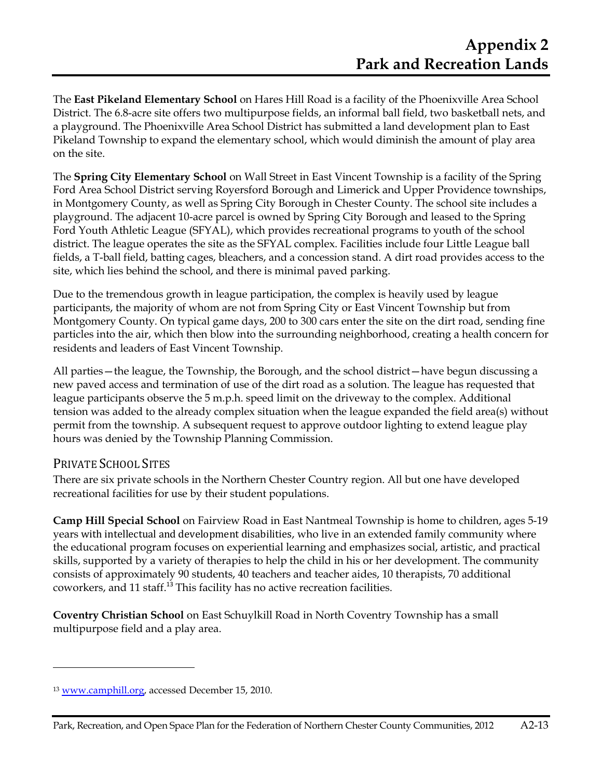The **East Pikeland Elementary School** on Hares Hill Road is a facility of the Phoenixville Area School District. The 6.8-acre site offers two multipurpose fields, an informal ball field, two basketball nets, and a playground. The Phoenixville Area School District has submitted a land development plan to East Pikeland Township to expand the elementary school, which would diminish the amount of play area on the site.

The **Spring City Elementary School** on Wall Street in East Vincent Township is a facility of the Spring Ford Area School District serving Royersford Borough and Limerick and Upper Providence townships, in Montgomery County, as well as Spring City Borough in Chester County. The school site includes a playground. The adjacent 10-acre parcel is owned by Spring City Borough and leased to the Spring Ford Youth Athletic League (SFYAL), which provides recreational programs to youth of the school district. The league operates the site as the SFYAL complex. Facilities include four Little League ball fields, a T-ball field, batting cages, bleachers, and a concession stand. A dirt road provides access to the site, which lies behind the school, and there is minimal paved parking.

Due to the tremendous growth in league participation, the complex is heavily used by league participants, the majority of whom are not from Spring City or East Vincent Township but from Montgomery County. On typical game days, 200 to 300 cars enter the site on the dirt road, sending fine particles into the air, which then blow into the surrounding neighborhood, creating a health concern for residents and leaders of East Vincent Township.

All parties—the league, the Township, the Borough, and the school district—have begun discussing a new paved access and termination of use of the dirt road as a solution. The league has requested that league participants observe the 5 m.p.h. speed limit on the driveway to the complex. Additional tension was added to the already complex situation when the league expanded the field area(s) without permit from the township. A subsequent request to approve outdoor lighting to extend league play hours was denied by the Township Planning Commission.

## PRIVATE SCHOOL SITES

**.** 

There are six private schools in the Northern Chester Country region. All but one have developed recreational facilities for use by their student populations.

**Camp Hill Special School** on Fairview Road in East Nantmeal Township is home to children, ages 5-19 years with intellectual and development disabilities, who live in an extended family community where the educational program focuses on experiential learning and emphasizes social, artistic, and practical skills, supported by a variety of therapies to help the child in his or her development. The community consists of approximately 90 students, 40 teachers and teacher aides, 10 therapists, 70 additional coworkers, and 11 staff.<sup>13</sup> This facility has no active recreation facilities.

**Coventry Christian School** on East Schuylkill Road in North Coventry Township has a small multipurpose field and a play area.

<sup>13</sup> www.camphill.org, accessed December 15, 2010.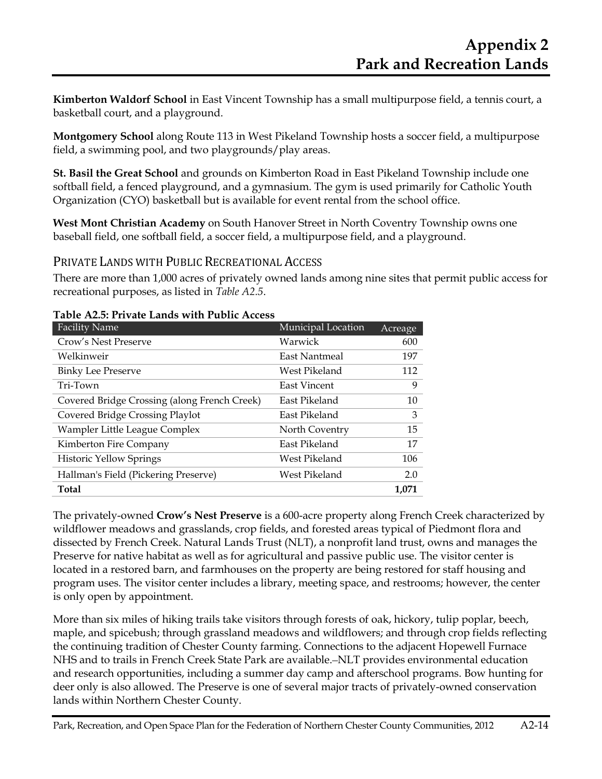**Kimberton Waldorf School** in East Vincent Township has a small multipurpose field, a tennis court, a basketball court, and a playground.

**Montgomery School** along Route 113 in West Pikeland Township hosts a soccer field, a multipurpose field, a swimming pool, and two playgrounds/play areas.

**St. Basil the Great School** and grounds on Kimberton Road in East Pikeland Township include one softball field, a fenced playground, and a gymnasium. The gym is used primarily for Catholic Youth Organization (CYO) basketball but is available for event rental from the school office.

**West Mont Christian Academy** on South Hanover Street in North Coventry Township owns one baseball field, one softball field, a soccer field, a multipurpose field, and a playground.

PRIVATE LANDS WITH PUBLIC RECREATIONAL ACCESS

There are more than 1,000 acres of privately owned lands among nine sites that permit public access for recreational purposes, as listed in *Table A2.5*.

| <b>Facility Name</b>                         | Municipal Location  | Acreage |
|----------------------------------------------|---------------------|---------|
| Crow's Nest Preserve                         | Warwick             | 600     |
| Welkinweir                                   | East Nantmeal       | 197     |
| <b>Binky Lee Preserve</b>                    | West Pikeland       | 112     |
| Tri-Town                                     | <b>East Vincent</b> | 9       |
| Covered Bridge Crossing (along French Creek) | East Pikeland       | 10      |
| Covered Bridge Crossing Playlot              | East Pikeland       | 3       |
| Wampler Little League Complex                | North Coventry      | 15      |
| Kimberton Fire Company                       | East Pikeland       | 17      |
| <b>Historic Yellow Springs</b>               | West Pikeland       | 106     |
| Hallman's Field (Pickering Preserve)         | West Pikeland       | 2.0     |
| <b>Total</b>                                 |                     | 1.071   |

#### **Table A2.5: Private Lands with Public Access**

The privately-owned **Crow's Nest Preserve** is a 600-acre property along French Creek characterized by wildflower meadows and grasslands, crop fields, and forested areas typical of Piedmont flora and dissected by French Creek. Natural Lands Trust (NLT), a nonprofit land trust, owns and manages the Preserve for native habitat as well as for agricultural and passive public use. The visitor center is located in a restored barn, and farmhouses on the property are being restored for staff housing and program uses. The visitor center includes a library, meeting space, and restrooms; however, the center is only open by appointment.

More than six miles of hiking trails take visitors through forests of oak, hickory, tulip poplar, beech, maple, and spicebush; through grassland meadows and wildflowers; and through crop fields reflecting the continuing tradition of Chester County farming. Connections to the adjacent Hopewell Furnace NHS and to trails in French Creek State Park are available. NLT provides environmental education and research opportunities, including a summer day camp and afterschool programs. Bow hunting for deer only is also allowed. The Preserve is one of several major tracts of privately-owned conservation lands within Northern Chester County.

Park, Recreation, and Open Space Plan for the Federation of Northern Chester County Communities, 2012 A2-14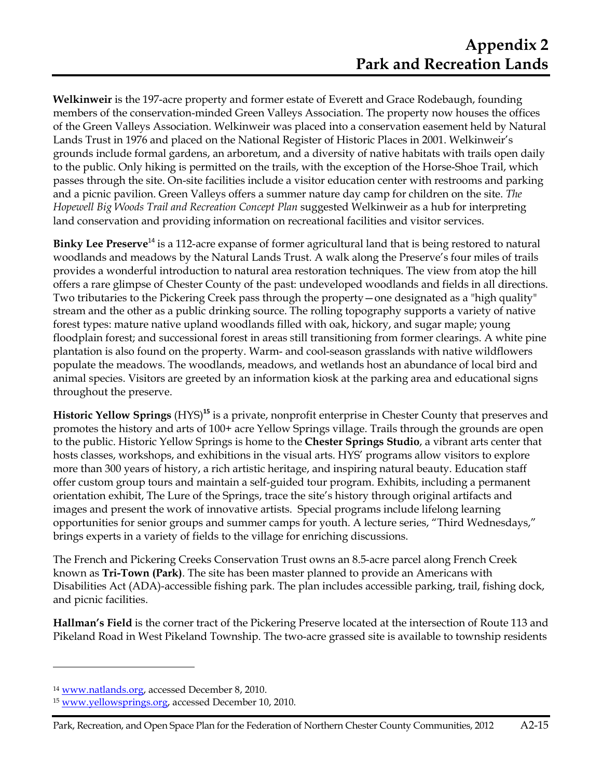**Welkinweir** is the 197-acre property and former estate of Everett and Grace Rodebaugh, founding members of the conservation-minded Green Valleys Association. The property now houses the offices of the Green Valleys Association. Welkinweir was placed into a conservation easement held by Natural Lands Trust in 1976 and placed on the National Register of Historic Places in 2001. Welkinweir's grounds include formal gardens, an arboretum, and a diversity of native habitats with trails open daily to the public. Only hiking is permitted on the trails, with the exception of the Horse-Shoe Trail, which passes through the site. On-site facilities include a visitor education center with restrooms and parking and a picnic pavilion. Green Valleys offers a summer nature day camp for children on the site. *The Hopewell Big Woods Trail and Recreation Concept Plan* suggested Welkinweir as a hub for interpreting land conservation and providing information on recreational facilities and visitor services.

**Binky Lee Preserve**<sup>14</sup> is a 112-acre expanse of former agricultural land that is being restored to natural woodlands and meadows by the Natural Lands Trust. A walk along the Preserve's four miles of trails provides a wonderful introduction to natural area restoration techniques. The view from atop the hill offers a rare glimpse of Chester County of the past: undeveloped woodlands and fields in all directions. Two tributaries to the Pickering Creek pass through the property—one designated as a "high quality" stream and the other as a public drinking source. The rolling topography supports a variety of native forest types: mature native upland woodlands filled with oak, hickory, and sugar maple; young floodplain forest; and successional forest in areas still transitioning from former clearings. A white pine plantation is also found on the property. Warm- and cool-season grasslands with native wildflowers populate the meadows. The woodlands, meadows, and wetlands host an abundance of local bird and animal species. Visitors are greeted by an information kiosk at the parking area and educational signs throughout the preserve.

**Historic Yellow Springs** (HYS)**<sup>15</sup>** is a private, nonprofit enterprise in Chester County that preserves and promotes the history and arts of 100+ acre Yellow Springs village. Trails through the grounds are open to the public. Historic Yellow Springs is home to the **Chester Springs Studio**, a vibrant arts center that hosts classes, workshops, and exhibitions in the visual arts. HYS' programs allow visitors to explore more than 300 years of history, a rich artistic heritage, and inspiring natural beauty. Education staff offer custom group tours and maintain a self-guided tour program. Exhibits, including a permanent orientation exhibit, The Lure of the Springs, trace the site's history through original artifacts and images and present the work of innovative artists. Special programs include lifelong learning opportunities for senior groups and summer camps for youth. A lecture series, "Third Wednesdays," brings experts in a variety of fields to the village for enriching discussions.

The French and Pickering Creeks Conservation Trust owns an 8.5-acre parcel along French Creek known as **Tri-Town (Park)**. The site has been master planned to provide an Americans with Disabilities Act (ADA)-accessible fishing park. The plan includes accessible parking, trail, fishing dock, and picnic facilities.

**Hallman's Field** is the corner tract of the Pickering Preserve located at the intersection of Route 113 and Pikeland Road in West Pikeland Township. The two-acre grassed site is available to township residents

 $\overline{a}$ 

<sup>14</sup> www.natlands.org, accessed December 8, 2010.

<sup>15</sup> www.yellowsprings.org, accessed December 10, 2010.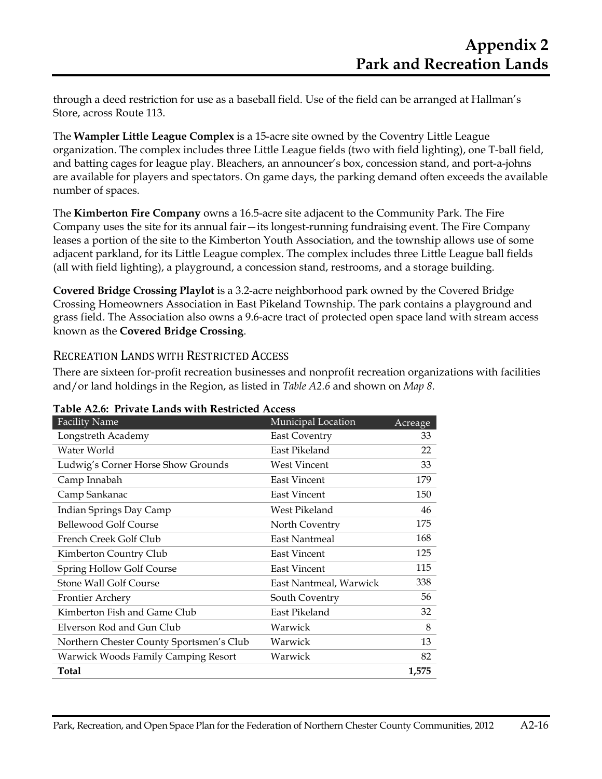through a deed restriction for use as a baseball field. Use of the field can be arranged at Hallman's Store, across Route 113.

The **Wampler Little League Complex** is a 15-acre site owned by the Coventry Little League organization. The complex includes three Little League fields (two with field lighting), one T-ball field, and batting cages for league play. Bleachers, an announcer's box, concession stand, and port-a-johns are available for players and spectators. On game days, the parking demand often exceeds the available number of spaces.

The **Kimberton Fire Company** owns a 16.5-acre site adjacent to the Community Park. The Fire Company uses the site for its annual fair—its longest-running fundraising event. The Fire Company leases a portion of the site to the Kimberton Youth Association, and the township allows use of some adjacent parkland, for its Little League complex. The complex includes three Little League ball fields (all with field lighting), a playground, a concession stand, restrooms, and a storage building.

**Covered Bridge Crossing Playlot** is a 3.2-acre neighborhood park owned by the Covered Bridge Crossing Homeowners Association in East Pikeland Township. The park contains a playground and grass field. The Association also owns a 9.6-acre tract of protected open space land with stream access known as the **Covered Bridge Crossing**.

#### RECREATION LANDS WITH RESTRICTED ACCESS

There are sixteen for-profit recreation businesses and nonprofit recreation organizations with facilities and/or land holdings in the Region, as listed in *Table A2.6* and shown on *Map 8*.

| <b>Facility Name</b>                       | Municipal Location     | Acreage |
|--------------------------------------------|------------------------|---------|
| Longstreth Academy                         | <b>East Coventry</b>   | 33      |
| Water World                                | East Pikeland          | 22      |
| Ludwig's Corner Horse Show Grounds         | West Vincent           | 33      |
| Camp Innabah                               | <b>East Vincent</b>    | 179     |
| Camp Sankanac                              | <b>East Vincent</b>    | 150     |
| Indian Springs Day Camp                    | West Pikeland          | 46      |
| <b>Bellewood Golf Course</b>               | North Coventry         | 175     |
| French Creek Golf Club                     | <b>East Nantmeal</b>   | 168     |
| Kimberton Country Club                     | <b>East Vincent</b>    | 125     |
| Spring Hollow Golf Course                  | <b>East Vincent</b>    | 115     |
| Stone Wall Golf Course                     | East Nantmeal, Warwick | 338     |
| Frontier Archery                           | South Coventry         | 56      |
| Kimberton Fish and Game Club               | East Pikeland          | 32      |
| Elverson Rod and Gun Club                  | Warwick                | 8       |
| Northern Chester County Sportsmen's Club   | Warwick                | 13      |
| <b>Warwick Woods Family Camping Resort</b> | Warwick                | 82      |
| Total                                      |                        | 1,575   |

**Table A2.6: Private Lands with Restricted Access**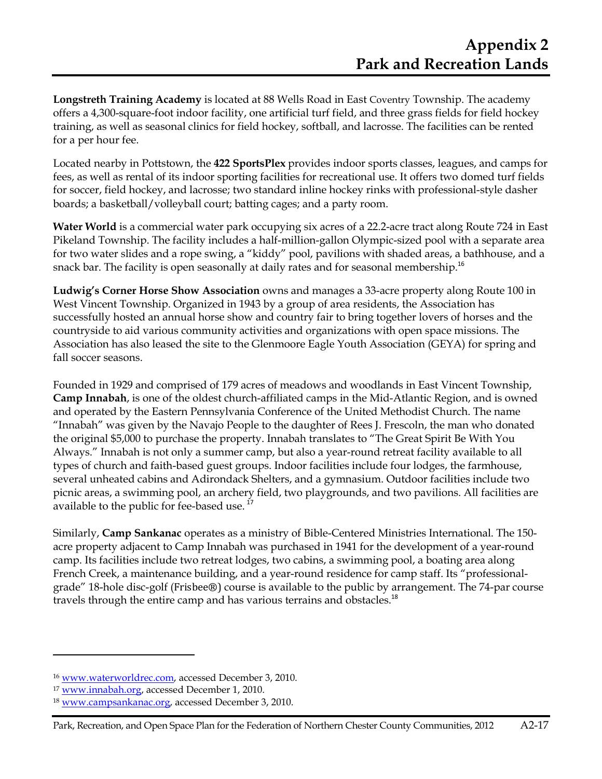**Longstreth Training Academy** is located at 88 Wells Road in East Coventry Township. The academy offers a 4,300-square-foot indoor facility, one artificial turf field, and three grass fields for field hockey training, as well as seasonal clinics for field hockey, softball, and lacrosse. The facilities can be rented for a per hour fee.

Located nearby in Pottstown, the **422 SportsPlex** provides indoor sports classes, leagues, and camps for fees, as well as rental of its indoor sporting facilities for recreational use. It offers two domed turf fields for soccer, field hockey, and lacrosse; two standard inline hockey rinks with professional-style dasher boards; a basketball/volleyball court; batting cages; and a party room.

**Water World** is a commercial water park occupying six acres of a 22.2-acre tract along Route 724 in East Pikeland Township. The facility includes a half-million-gallon Olympic-sized pool with a separate area for two water slides and a rope swing, a "kiddy" pool, pavilions with shaded areas, a bathhouse, and a snack bar. The facility is open seasonally at daily rates and for seasonal membership.<sup>16</sup>

**Ludwig's Corner Horse Show Association** owns and manages a 33-acre property along Route 100 in West Vincent Township. Organized in 1943 by a group of area residents, the Association has successfully hosted an annual horse show and country fair to bring together lovers of horses and the countryside to aid various community activities and organizations with open space missions. The Association has also leased the site to the Glenmoore Eagle Youth Association (GEYA) for spring and fall soccer seasons.

Founded in 1929 and comprised of 179 acres of meadows and woodlands in East Vincent Township, **Camp Innabah**, is one of the oldest church-affiliated camps in the Mid-Atlantic Region, and is owned and operated by the Eastern Pennsylvania Conference of the United Methodist Church. The name "Innabah" was given by the Navajo People to the daughter of Rees J. Frescoln, the man who donated the original \$5,000 to purchase the property. Innabah translates to "The Great Spirit Be With You Always." Innabah is not only a summer camp, but also a year-round retreat facility available to all types of church and faith-based guest groups. Indoor facilities include four lodges, the farmhouse, several unheated cabins and Adirondack Shelters, and a gymnasium. Outdoor facilities include two picnic areas, a swimming pool, an archery field, two playgrounds, and two pavilions. All facilities are available to the public for fee-based use.<sup>17</sup>

Similarly, **Camp Sankanac** operates as a ministry of Bible-Centered Ministries International. The 150 acre property adjacent to Camp Innabah was purchased in 1941 for the development of a year-round camp. Its facilities include two retreat lodges, two cabins, a swimming pool, a boating area along French Creek, a maintenance building, and a year-round residence for camp staff. Its "professionalgrade" 18-hole disc-golf (Frisbee®) course is available to the public by arrangement. The 74-par course travels through the entire camp and has various terrains and obstacles.<sup>18</sup>

<u>.</u>

<sup>16</sup> www.waterworldrec.com, accessed December 3, 2010.

<sup>17</sup> www.innabah.org, accessed December 1, 2010.

<sup>18</sup> www.campsankanac.org, accessed December 3, 2010.

Park, Recreation, and Open Space Plan for the Federation of Northern Chester County Communities, 2012 A2-17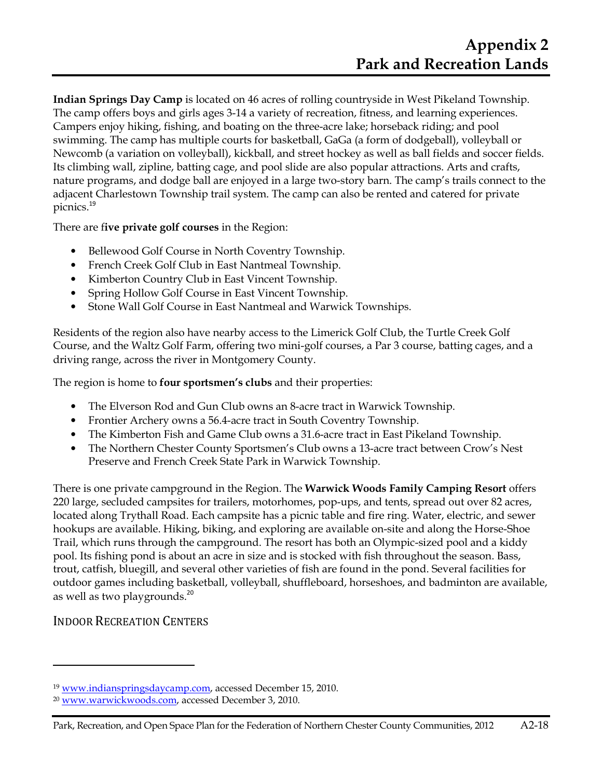**Indian Springs Day Camp** is located on 46 acres of rolling countryside in West Pikeland Township. The camp offers boys and girls ages 3-14 a variety of recreation, fitness, and learning experiences. Campers enjoy hiking, fishing, and boating on the three-acre lake; horseback riding; and pool swimming. The camp has multiple courts for basketball, GaGa (a form of dodgeball), volleyball or Newcomb (a variation on volleyball), kickball, and street hockey as well as ball fields and soccer fields. Its climbing wall, zipline, batting cage, and pool slide are also popular attractions. Arts and crafts, nature programs, and dodge ball are enjoyed in a large two-story barn. The camp's trails connect to the adjacent Charlestown Township trail system. The camp can also be rented and catered for private picnics.<sup>19</sup>

There are f**ive private golf courses** in the Region:

- Bellewood Golf Course in North Coventry Township.
- French Creek Golf Club in East Nantmeal Township.
- Kimberton Country Club in East Vincent Township.
- Spring Hollow Golf Course in East Vincent Township.
- Stone Wall Golf Course in East Nantmeal and Warwick Townships.

Residents of the region also have nearby access to the Limerick Golf Club, the Turtle Creek Golf Course, and the Waltz Golf Farm, offering two mini-golf courses, a Par 3 course, batting cages, and a driving range, across the river in Montgomery County.

The region is home to **four sportsmen's clubs** and their properties:

- The Elverson Rod and Gun Club owns an 8-acre tract in Warwick Township.
- Frontier Archery owns a 56.4-acre tract in South Coventry Township.
- The Kimberton Fish and Game Club owns a 31.6-acre tract in East Pikeland Township.
- The Northern Chester County Sportsmen's Club owns a 13-acre tract between Crow's Nest Preserve and French Creek State Park in Warwick Township.

There is one private campground in the Region. The **Warwick Woods Family Camping Resort** offers 220 large, secluded campsites for trailers, motorhomes, pop-ups, and tents, spread out over 82 acres, located along Trythall Road. Each campsite has a picnic table and fire ring. Water, electric, and sewer hookups are available. Hiking, biking, and exploring are available on-site and along the Horse-Shoe Trail, which runs through the campground. The resort has both an Olympic-sized pool and a kiddy pool. Its fishing pond is about an acre in size and is stocked with fish throughout the season. Bass, trout, catfish, bluegill, and several other varieties of fish are found in the pond. Several facilities for outdoor games including basketball, volleyball, shuffleboard, horseshoes, and badminton are available, as well as two playgrounds.<sup>20</sup>

## INDOOR RECREATION CENTERS

l

<sup>19</sup> www.indianspringsdaycamp.com, accessed December 15, 2010.

<sup>&</sup>lt;sup>20</sup> www.warwickwoods.com, accessed December 3, 2010.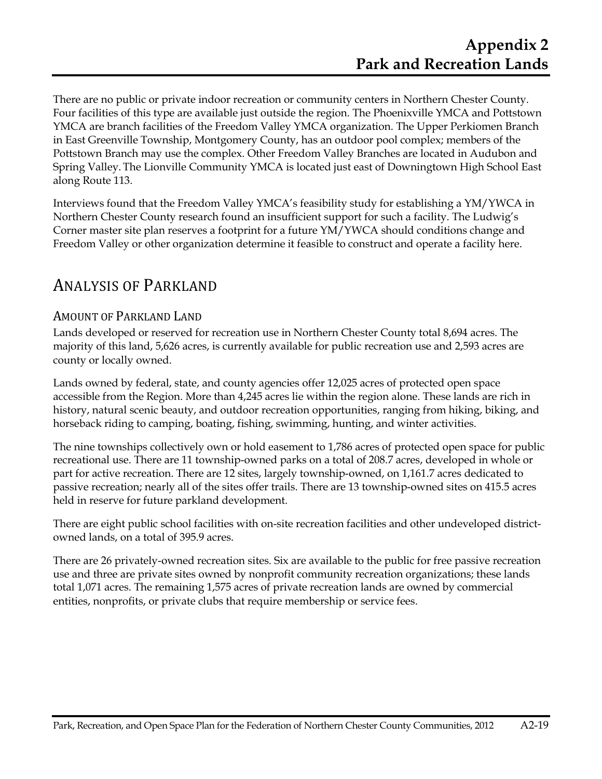There are no public or private indoor recreation or community centers in Northern Chester County. Four facilities of this type are available just outside the region. The Phoenixville YMCA and Pottstown YMCA are branch facilities of the Freedom Valley YMCA organization. The Upper Perkiomen Branch in East Greenville Township, Montgomery County, has an outdoor pool complex; members of the Pottstown Branch may use the complex. Other Freedom Valley Branches are located in Audubon and Spring Valley.The Lionville Community YMCA is located just east of Downingtown High School East along Route 113.

Interviews found that the Freedom Valley YMCA's feasibility study for establishing a YM/YWCA in Northern Chester County research found an insufficient support for such a facility. The Ludwig's Corner master site plan reserves a footprint for a future YM/YWCA should conditions change and Freedom Valley or other organization determine it feasible to construct and operate a facility here.

## ANALYSIS OF PARKLAND

### AMOUNT OF PARKLAND LAND

Lands developed or reserved for recreation use in Northern Chester County total 8,694 acres. The majority of this land, 5,626 acres, is currently available for public recreation use and 2,593 acres are county or locally owned.

Lands owned by federal, state, and county agencies offer 12,025 acres of protected open space accessible from the Region. More than 4,245 acres lie within the region alone. These lands are rich in history, natural scenic beauty, and outdoor recreation opportunities, ranging from hiking, biking, and horseback riding to camping, boating, fishing, swimming, hunting, and winter activities.

The nine townships collectively own or hold easement to 1,786 acres of protected open space for public recreational use. There are 11 township-owned parks on a total of 208.7 acres, developed in whole or part for active recreation. There are 12 sites, largely township-owned, on 1,161.7 acres dedicated to passive recreation; nearly all of the sites offer trails. There are 13 township-owned sites on 415.5 acres held in reserve for future parkland development.

There are eight public school facilities with on-site recreation facilities and other undeveloped districtowned lands, on a total of 395.9 acres.

There are 26 privately-owned recreation sites. Six are available to the public for free passive recreation use and three are private sites owned by nonprofit community recreation organizations; these lands total 1,071 acres. The remaining 1,575 acres of private recreation lands are owned by commercial entities, nonprofits, or private clubs that require membership or service fees.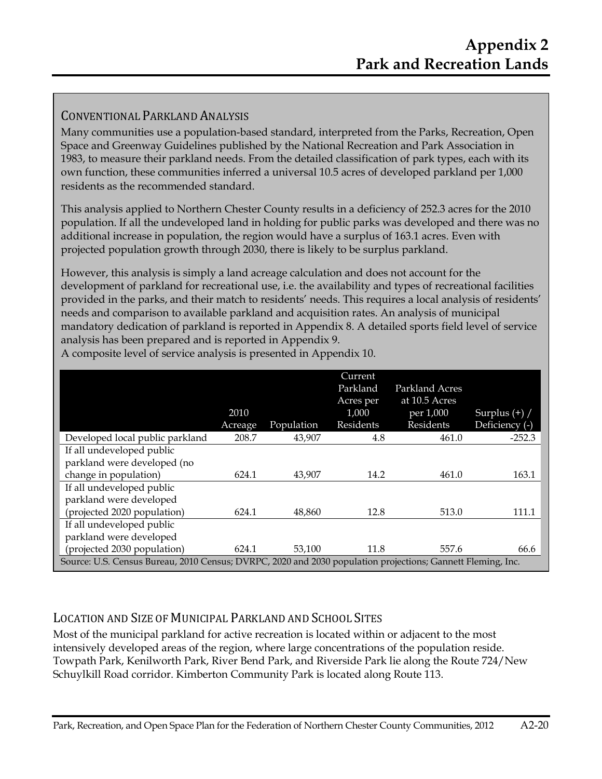## CONVENTIONAL PARKLAND ANALYSIS

Many communities use a population-based standard, interpreted from the Parks, Recreation, Open Space and Greenway Guidelines published by the National Recreation and Park Association in 1983, to measure their parkland needs. From the detailed classification of park types, each with its own function, these communities inferred a universal 10.5 acres of developed parkland per 1,000 residents as the recommended standard.

This analysis applied to Northern Chester County results in a deficiency of 252.3 acres for the 2010 population. If all the undeveloped land in holding for public parks was developed and there was no additional increase in population, the region would have a surplus of 163.1 acres. Even with projected population growth through 2030, there is likely to be surplus parkland.

However, this analysis is simply a land acreage calculation and does not account for the development of parkland for recreational use, i.e. the availability and types of recreational facilities provided in the parks, and their match to residents' needs. This requires a local analysis of residents' needs and comparison to available parkland and acquisition rates. An analysis of municipal mandatory dedication of parkland is reported in Appendix 8. A detailed sports field level of service analysis has been prepared and is reported in Appendix 9.

|                                                                                                             | 2010<br>Acreage | Population | Current<br>Parkland<br>Acres per<br>1,000<br>Residents | Parkland Acres<br>at 10.5 Acres<br>per 1,000<br>Residents | Surplus $(+)$ /<br>Deficiency (-) |
|-------------------------------------------------------------------------------------------------------------|-----------------|------------|--------------------------------------------------------|-----------------------------------------------------------|-----------------------------------|
| Developed local public parkland                                                                             | 208.7           | 43,907     | 4.8                                                    | 461.0                                                     | $-252.3$                          |
| If all undeveloped public                                                                                   |                 |            |                                                        |                                                           |                                   |
| parkland were developed (no                                                                                 |                 |            |                                                        |                                                           |                                   |
| change in population)                                                                                       | 624.1           | 43,907     | 14.2                                                   | 461.0                                                     | 163.1                             |
| If all undeveloped public                                                                                   |                 |            |                                                        |                                                           |                                   |
| parkland were developed                                                                                     |                 |            |                                                        |                                                           |                                   |
| (projected 2020 population)                                                                                 | 624.1           | 48,860     | 12.8                                                   | 513.0                                                     | 111.1                             |
| If all undeveloped public                                                                                   |                 |            |                                                        |                                                           |                                   |
| parkland were developed                                                                                     |                 |            |                                                        |                                                           |                                   |
| (projected 2030 population)                                                                                 | 624.1           | 53,100     | 11.8                                                   | 557.6                                                     | 66.6                              |
| Source: U.S. Census Bureau, 2010 Census; DVRPC, 2020 and 2030 population projections; Gannett Fleming, Inc. |                 |            |                                                        |                                                           |                                   |

A composite level of service analysis is presented in Appendix 10.

## LOCATION AND SIZE OF MUNICIPAL PARKLAND AND SCHOOL SITES

Most of the municipal parkland for active recreation is located within or adjacent to the most intensively developed areas of the region, where large concentrations of the population reside. Towpath Park, Kenilworth Park, River Bend Park, and Riverside Park lie along the Route 724/New Schuylkill Road corridor. Kimberton Community Park is located along Route 113.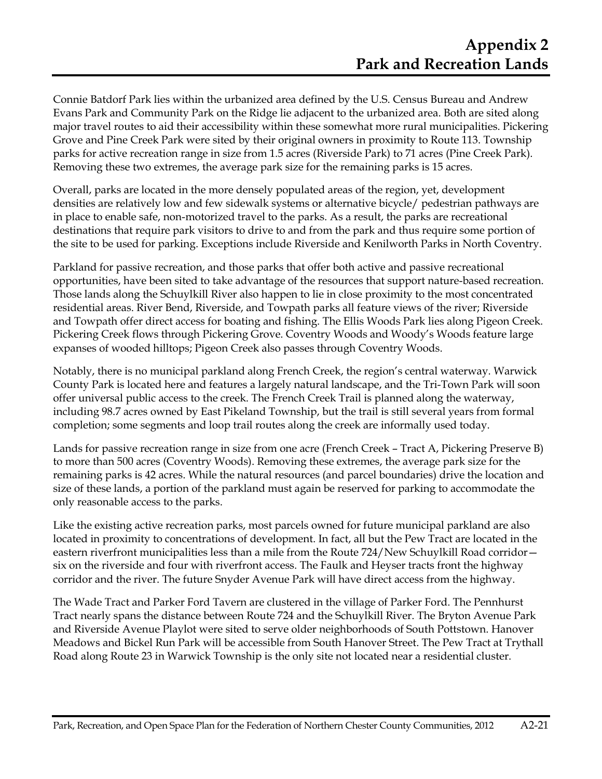Connie Batdorf Park lies within the urbanized area defined by the U.S. Census Bureau and Andrew Evans Park and Community Park on the Ridge lie adjacent to the urbanized area. Both are sited along major travel routes to aid their accessibility within these somewhat more rural municipalities. Pickering Grove and Pine Creek Park were sited by their original owners in proximity to Route 113. Township parks for active recreation range in size from 1.5 acres (Riverside Park) to 71 acres (Pine Creek Park). Removing these two extremes, the average park size for the remaining parks is 15 acres.

Overall, parks are located in the more densely populated areas of the region, yet, development densities are relatively low and few sidewalk systems or alternative bicycle/ pedestrian pathways are in place to enable safe, non-motorized travel to the parks. As a result, the parks are recreational destinations that require park visitors to drive to and from the park and thus require some portion of the site to be used for parking. Exceptions include Riverside and Kenilworth Parks in North Coventry.

Parkland for passive recreation, and those parks that offer both active and passive recreational opportunities, have been sited to take advantage of the resources that support nature-based recreation. Those lands along the Schuylkill River also happen to lie in close proximity to the most concentrated residential areas. River Bend, Riverside, and Towpath parks all feature views of the river; Riverside and Towpath offer direct access for boating and fishing. The Ellis Woods Park lies along Pigeon Creek. Pickering Creek flows through Pickering Grove. Coventry Woods and Woody's Woods feature large expanses of wooded hilltops; Pigeon Creek also passes through Coventry Woods.

Notably, there is no municipal parkland along French Creek, the region's central waterway. Warwick County Park is located here and features a largely natural landscape, and the Tri-Town Park will soon offer universal public access to the creek. The French Creek Trail is planned along the waterway, including 98.7 acres owned by East Pikeland Township, but the trail is still several years from formal completion; some segments and loop trail routes along the creek are informally used today.

Lands for passive recreation range in size from one acre (French Creek – Tract A, Pickering Preserve B) to more than 500 acres (Coventry Woods). Removing these extremes, the average park size for the remaining parks is 42 acres. While the natural resources (and parcel boundaries) drive the location and size of these lands, a portion of the parkland must again be reserved for parking to accommodate the only reasonable access to the parks.

Like the existing active recreation parks, most parcels owned for future municipal parkland are also located in proximity to concentrations of development. In fact, all but the Pew Tract are located in the eastern riverfront municipalities less than a mile from the Route 724/New Schuylkill Road corridor six on the riverside and four with riverfront access. The Faulk and Heyser tracts front the highway corridor and the river. The future Snyder Avenue Park will have direct access from the highway.

The Wade Tract and Parker Ford Tavern are clustered in the village of Parker Ford. The Pennhurst Tract nearly spans the distance between Route 724 and the Schuylkill River. The Bryton Avenue Park and Riverside Avenue Playlot were sited to serve older neighborhoods of South Pottstown. Hanover Meadows and Bickel Run Park will be accessible from South Hanover Street. The Pew Tract at Trythall Road along Route 23 in Warwick Township is the only site not located near a residential cluster.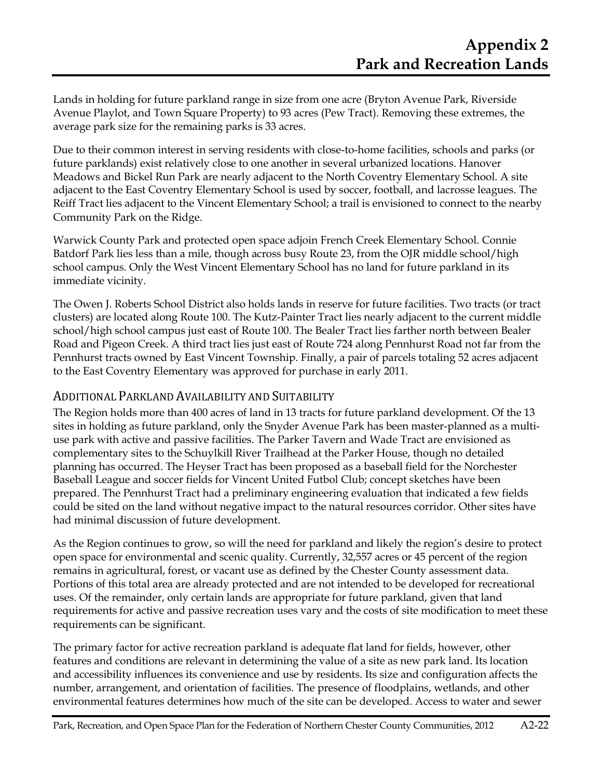Lands in holding for future parkland range in size from one acre (Bryton Avenue Park, Riverside Avenue Playlot, and Town Square Property) to 93 acres (Pew Tract). Removing these extremes, the average park size for the remaining parks is 33 acres.

Due to their common interest in serving residents with close-to-home facilities, schools and parks (or future parklands) exist relatively close to one another in several urbanized locations. Hanover Meadows and Bickel Run Park are nearly adjacent to the North Coventry Elementary School. A site adjacent to the East Coventry Elementary School is used by soccer, football, and lacrosse leagues. The Reiff Tract lies adjacent to the Vincent Elementary School; a trail is envisioned to connect to the nearby Community Park on the Ridge.

Warwick County Park and protected open space adjoin French Creek Elementary School. Connie Batdorf Park lies less than a mile, though across busy Route 23, from the OJR middle school/high school campus. Only the West Vincent Elementary School has no land for future parkland in its immediate vicinity.

The Owen J. Roberts School District also holds lands in reserve for future facilities. Two tracts (or tract clusters) are located along Route 100. The Kutz-Painter Tract lies nearly adjacent to the current middle school/high school campus just east of Route 100. The Bealer Tract lies farther north between Bealer Road and Pigeon Creek. A third tract lies just east of Route 724 along Pennhurst Road not far from the Pennhurst tracts owned by East Vincent Township. Finally, a pair of parcels totaling 52 acres adjacent to the East Coventry Elementary was approved for purchase in early 2011.

### ADDITIONAL PARKLAND AVAILABILITY AND SUITABILITY

The Region holds more than 400 acres of land in 13 tracts for future parkland development. Of the 13 sites in holding as future parkland, only the Snyder Avenue Park has been master-planned as a multiuse park with active and passive facilities. The Parker Tavern and Wade Tract are envisioned as complementary sites to the Schuylkill River Trailhead at the Parker House, though no detailed planning has occurred. The Heyser Tract has been proposed as a baseball field for the Norchester Baseball League and soccer fields for Vincent United Futbol Club; concept sketches have been prepared. The Pennhurst Tract had a preliminary engineering evaluation that indicated a few fields could be sited on the land without negative impact to the natural resources corridor. Other sites have had minimal discussion of future development.

As the Region continues to grow, so will the need for parkland and likely the region's desire to protect open space for environmental and scenic quality. Currently, 32,557 acres or 45 percent of the region remains in agricultural, forest, or vacant use as defined by the Chester County assessment data. Portions of this total area are already protected and are not intended to be developed for recreational uses. Of the remainder, only certain lands are appropriate for future parkland, given that land requirements for active and passive recreation uses vary and the costs of site modification to meet these requirements can be significant.

The primary factor for active recreation parkland is adequate flat land for fields, however, other features and conditions are relevant in determining the value of a site as new park land. Its location and accessibility influences its convenience and use by residents. Its size and configuration affects the number, arrangement, and orientation of facilities. The presence of floodplains, wetlands, and other environmental features determines how much of the site can be developed. Access to water and sewer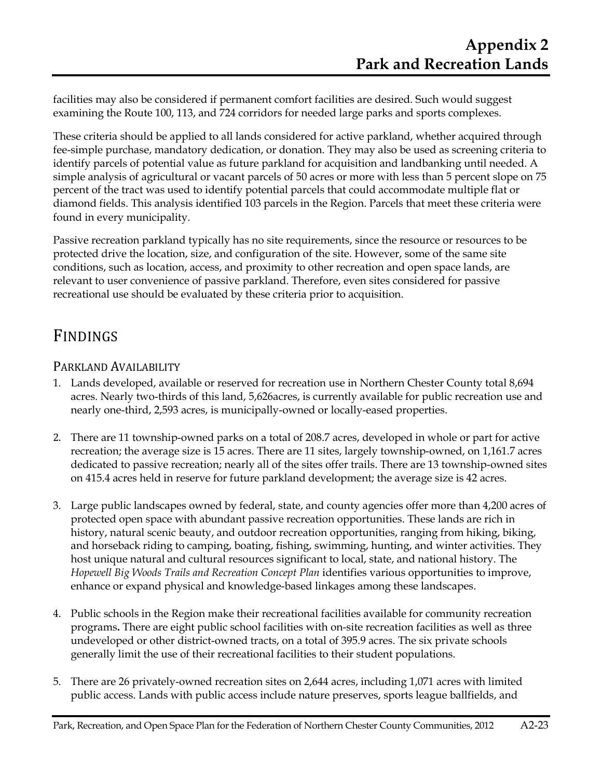facilities may also be considered if permanent comfort facilities are desired. Such would suggest examining the Route 100, 113, and 724 corridors for needed large parks and sports complexes.

These criteria should be applied to all lands considered for active parkland, whether acquired through fee-simple purchase, mandatory dedication, or donation. They may also be used as screening criteria to identify parcels of potential value as future parkland for acquisition and landbanking until needed. A simple analysis of agricultural or vacant parcels of 50 acres or more with less than 5 percent slope on 75 percent of the tract was used to identify potential parcels that could accommodate multiple flat or diamond fields. This analysis identified 103 parcels in the Region. Parcels that meet these criteria were found in every municipality.

Passive recreation parkland typically has no site requirements, since the resource or resources to be protected drive the location, size, and configuration of the site. However, some of the same site conditions, such as location, access, and proximity to other recreation and open space lands, are relevant to user convenience of passive parkland. Therefore, even sites considered for passive recreational use should be evaluated by these criteria prior to acquisition.

# FINDINGS

## PARKLAND AVAILABILITY

- 1. Lands developed, available or reserved for recreation use in Northern Chester County total 8,694 acres. Nearly two-thirds of this land, 5,626acres, is currently available for public recreation use and nearly one-third, 2,593 acres, is municipally-owned or locally-eased properties.
- 2. There are 11 township-owned parks on a total of 208.7 acres, developed in whole or part for active recreation; the average size is 15 acres. There are 11 sites, largely township-owned, on 1,161.7 acres dedicated to passive recreation; nearly all of the sites offer trails. There are 13 township-owned sites on 415.4 acres held in reserve for future parkland development; the average size is 42 acres.
- 3. Large public landscapes owned by federal, state, and county agencies offer more than 4,200 acres of protected open space with abundant passive recreation opportunities. These lands are rich in history, natural scenic beauty, and outdoor recreation opportunities, ranging from hiking, biking, and horseback riding to camping, boating, fishing, swimming, hunting, and winter activities. They host unique natural and cultural resources significant to local, state, and national history. The *Hopewell Big Woods Trails and Recreation Concept Plan* identifies various opportunities to improve, enhance or expand physical and knowledge-based linkages among these landscapes.
- 4. Public schools in the Region make their recreational facilities available for community recreation programs**.** There are eight public school facilities with on-site recreation facilities as well as three undeveloped or other district-owned tracts, on a total of 395.9 acres. The six private schools generally limit the use of their recreational facilities to their student populations.
- 5. There are 26 privately-owned recreation sites on 2,644 acres, including 1,071 acres with limited public access. Lands with public access include nature preserves, sports league ballfields, and